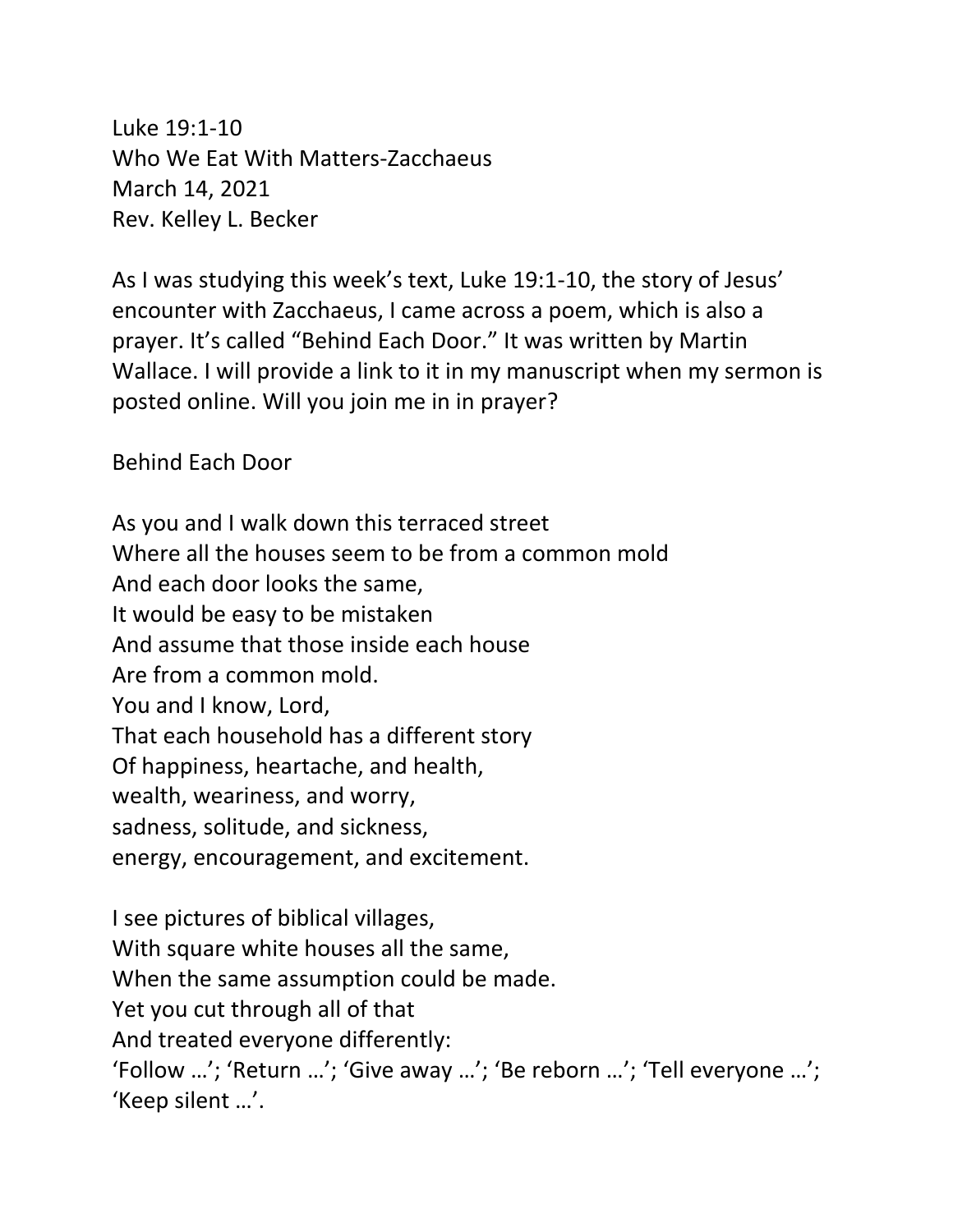Luke 19:1-10 Who We Eat With Matters-Zacchaeus March 14, 2021 Rev. Kelley L. Becker

As I was studying this week's text, Luke 19:1-10, the story of Jesus' encounter with Zacchaeus, I came across a poem, which is also a prayer. It's called "Behind Each Door." It was written by Martin Wallace. I will provide a link to it in my manuscript when my sermon is posted online. Will you join me in in prayer?

Behind Each Door

As you and I walk down this terraced street Where all the houses seem to be from a common mold And each door looks the same, It would be easy to be mistaken And assume that those inside each house Are from a common mold. You and I know, Lord, That each household has a different story Of happiness, heartache, and health, wealth, weariness, and worry, sadness, solitude, and sickness, energy, encouragement, and excitement.

I see pictures of biblical villages, With square white houses all the same, When the same assumption could be made. Yet you cut through all of that And treated everyone differently: 'Follow …'; 'Return …'; 'Give away …'; 'Be reborn …'; 'Tell everyone …'; 'Keep silent …'.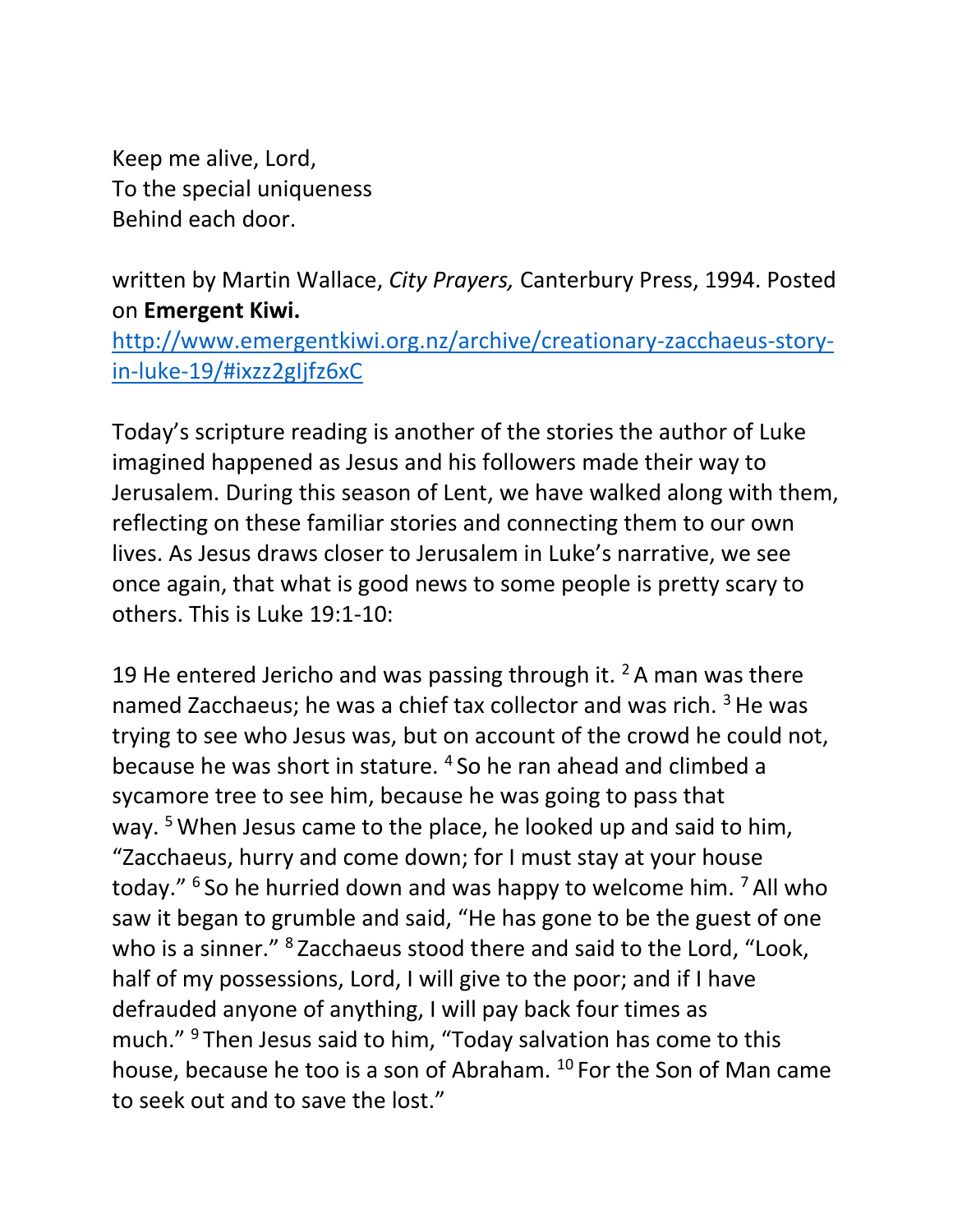Keep me alive, Lord, To the special uniqueness Behind each door.

written by Martin Wallace, *City Prayers,* Canterbury Press, 1994. Posted on **Emergent Kiwi.**

[http://www.emergentkiwi.org.nz/archive/creationary-zacchaeus-story](http://www.emergentkiwi.org.nz/archive/creationary-zacchaeus-story-in-luke-19/#ixzz2gIjfz6xC)[in-luke-19/#ixzz2gIjfz6xC](http://www.emergentkiwi.org.nz/archive/creationary-zacchaeus-story-in-luke-19/#ixzz2gIjfz6xC)

Today's scripture reading is another of the stories the author of Luke imagined happened as Jesus and his followers made their way to Jerusalem. During this season of Lent, we have walked along with them, reflecting on these familiar stories and connecting them to our own lives. As Jesus draws closer to Jerusalem in Luke's narrative, we see once again, that what is good news to some people is pretty scary to others. This is Luke 19:1-10:

19 He entered Jericho and was passing through it.  $2A$  man was there named Zacchaeus; he was a chief tax collector and was rich. <sup>3</sup> He was trying to see who Jesus was, but on account of the crowd he could not, because he was short in stature. <sup>4</sup> So he ran ahead and climbed a sycamore tree to see him, because he was going to pass that way.<sup>5</sup> When Jesus came to the place, he looked up and said to him, "Zacchaeus, hurry and come down; for I must stay at your house today." <sup>6</sup> So he hurried down and was happy to welcome him. <sup>7</sup> All who saw it began to grumble and said, "He has gone to be the guest of one who is a sinner." <sup>8</sup> Zacchaeus stood there and said to the Lord, "Look, half of my possessions, Lord, I will give to the poor; and if I have defrauded anyone of anything, I will pay back four times as much." <sup>9</sup> Then Jesus said to him, "Today salvation has come to this house, because he too is a son of Abraham. <sup>10</sup> For the Son of Man came to seek out and to save the lost."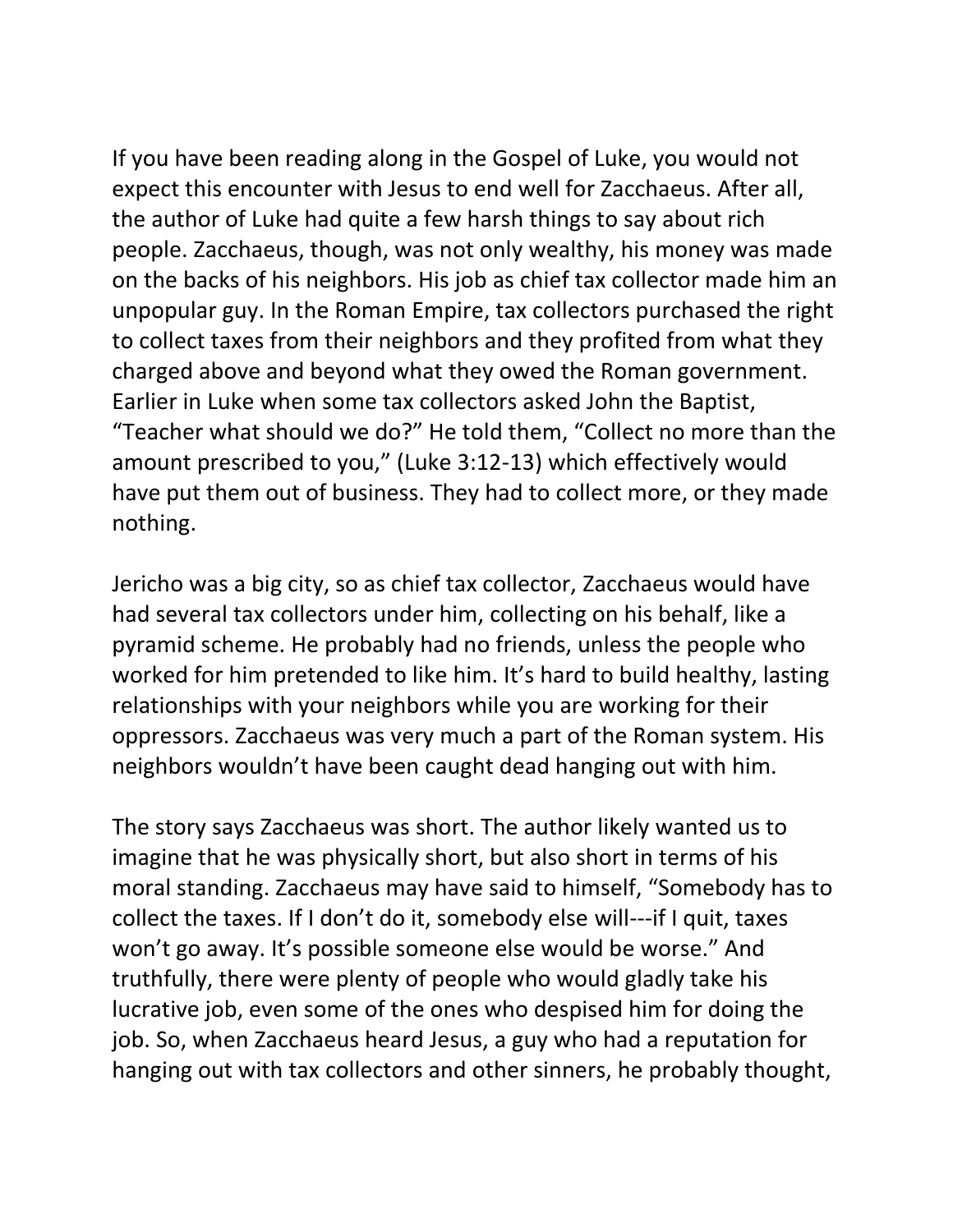If you have been reading along in the Gospel of Luke, you would not expect this encounter with Jesus to end well for Zacchaeus. After all, the author of Luke had quite a few harsh things to say about rich people. Zacchaeus, though, was not only wealthy, his money was made on the backs of his neighbors. His job as chief tax collector made him an unpopular guy. In the Roman Empire, tax collectors purchased the right to collect taxes from their neighbors and they profited from what they charged above and beyond what they owed the Roman government. Earlier in Luke when some tax collectors asked John the Baptist, "Teacher what should we do?" He told them, "Collect no more than the amount prescribed to you," (Luke 3:12-13) which effectively would have put them out of business. They had to collect more, or they made nothing.

Jericho was a big city, so as chief tax collector, Zacchaeus would have had several tax collectors under him, collecting on his behalf, like a pyramid scheme. He probably had no friends, unless the people who worked for him pretended to like him. It's hard to build healthy, lasting relationships with your neighbors while you are working for their oppressors. Zacchaeus was very much a part of the Roman system. His neighbors wouldn't have been caught dead hanging out with him.

The story says Zacchaeus was short. The author likely wanted us to imagine that he was physically short, but also short in terms of his moral standing. Zacchaeus may have said to himself, "Somebody has to collect the taxes. If I don't do it, somebody else will---if I quit, taxes won't go away. It's possible someone else would be worse." And truthfully, there were plenty of people who would gladly take his lucrative job, even some of the ones who despised him for doing the job. So, when Zacchaeus heard Jesus, a guy who had a reputation for hanging out with tax collectors and other sinners, he probably thought,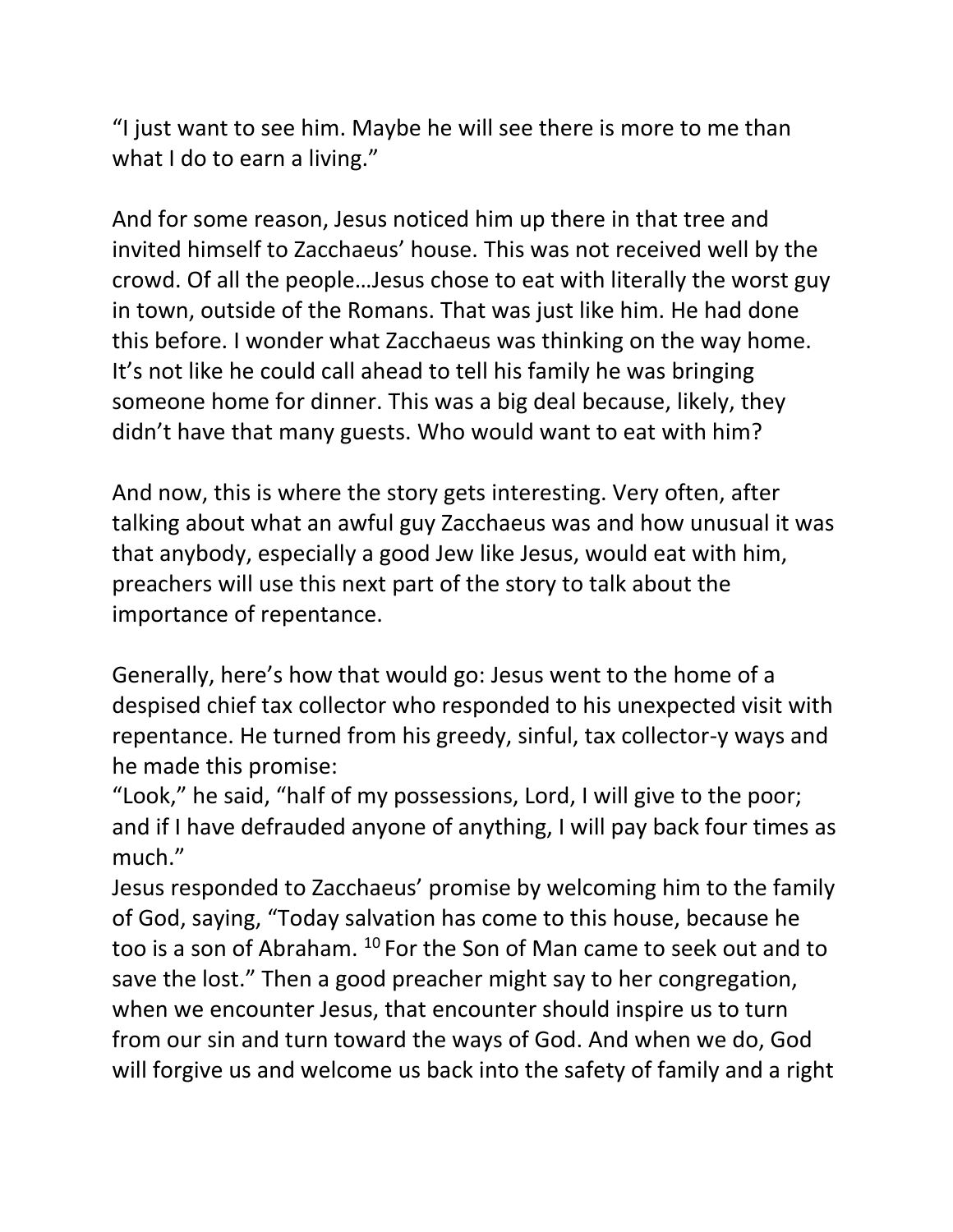"I just want to see him. Maybe he will see there is more to me than what I do to earn a living."

And for some reason, Jesus noticed him up there in that tree and invited himself to Zacchaeus' house. This was not received well by the crowd. Of all the people…Jesus chose to eat with literally the worst guy in town, outside of the Romans. That was just like him. He had done this before. I wonder what Zacchaeus was thinking on the way home. It's not like he could call ahead to tell his family he was bringing someone home for dinner. This was a big deal because, likely, they didn't have that many guests. Who would want to eat with him?

And now, this is where the story gets interesting. Very often, after talking about what an awful guy Zacchaeus was and how unusual it was that anybody, especially a good Jew like Jesus, would eat with him, preachers will use this next part of the story to talk about the importance of repentance.

Generally, here's how that would go: Jesus went to the home of a despised chief tax collector who responded to his unexpected visit with repentance. He turned from his greedy, sinful, tax collector-y ways and he made this promise:

"Look," he said, "half of my possessions, Lord, I will give to the poor; and if I have defrauded anyone of anything, I will pay back four times as much."

Jesus responded to Zacchaeus' promise by welcoming him to the family of God, saying, "Today salvation has come to this house, because he too is a son of Abraham. <sup>10</sup> For the Son of Man came to seek out and to save the lost." Then a good preacher might say to her congregation, when we encounter Jesus, that encounter should inspire us to turn from our sin and turn toward the ways of God. And when we do, God will forgive us and welcome us back into the safety of family and a right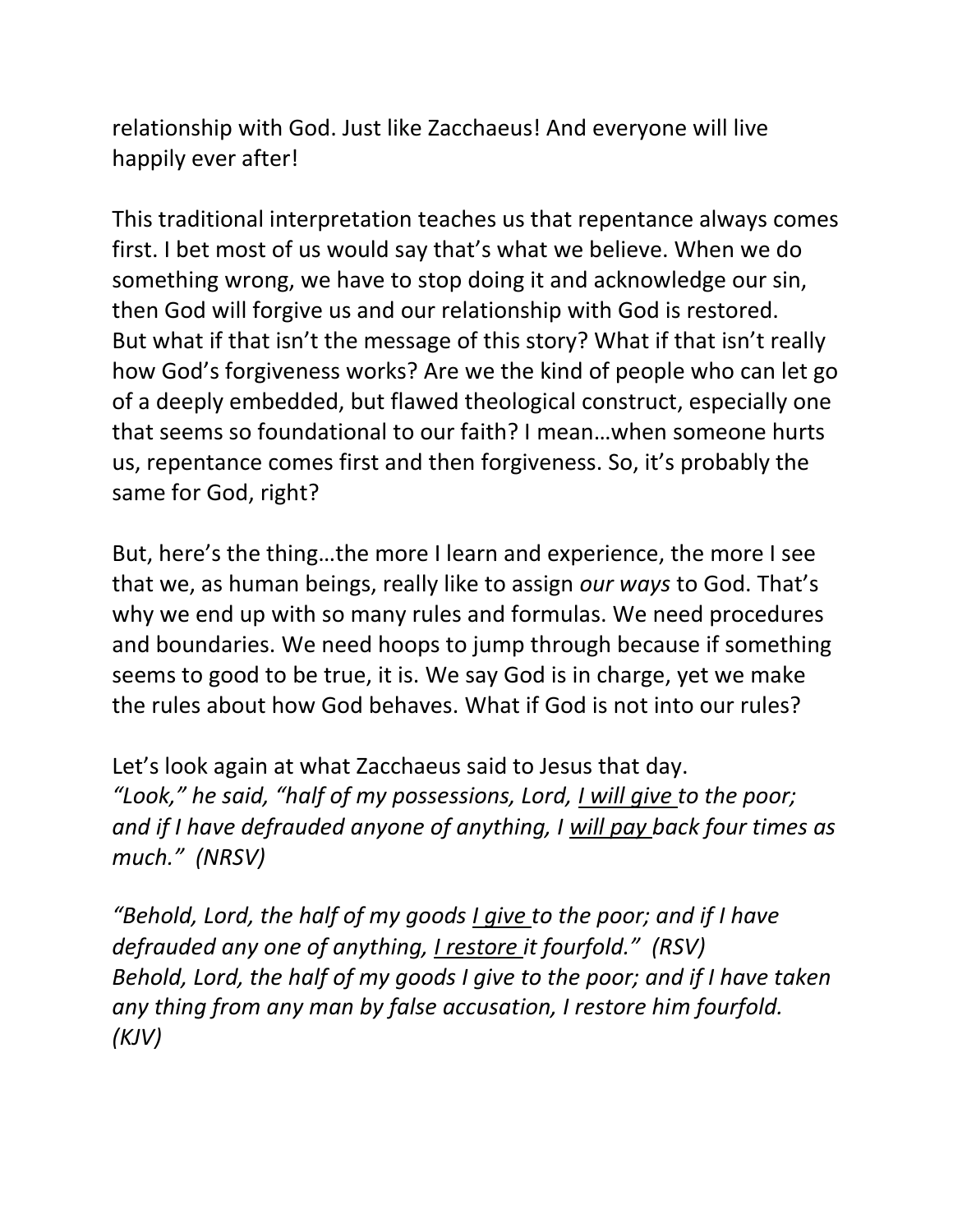relationship with God. Just like Zacchaeus! And everyone will live happily ever after!

This traditional interpretation teaches us that repentance always comes first. I bet most of us would say that's what we believe. When we do something wrong, we have to stop doing it and acknowledge our sin, then God will forgive us and our relationship with God is restored. But what if that isn't the message of this story? What if that isn't really how God's forgiveness works? Are we the kind of people who can let go of a deeply embedded, but flawed theological construct, especially one that seems so foundational to our faith? I mean…when someone hurts us, repentance comes first and then forgiveness. So, it's probably the same for God, right?

But, here's the thing…the more I learn and experience, the more I see that we, as human beings, really like to assign *our ways* to God. That's why we end up with so many rules and formulas. We need procedures and boundaries. We need hoops to jump through because if something seems to good to be true, it is. We say God is in charge, yet we make the rules about how God behaves. What if God is not into our rules?

Let's look again at what Zacchaeus said to Jesus that day. *"Look," he said, "half of my possessions, Lord, I will give to the poor; and if I have defrauded anyone of anything, I will pay back four times as much." (NRSV)*

*"Behold, Lord, the half of my goods I give to the poor; and if I have defrauded any one of anything, I restore it fourfold." (RSV) Behold, Lord, the half of my goods I give to the poor; and if I have taken any thing from any man by false accusation, I restore him fourfold. (KJV)*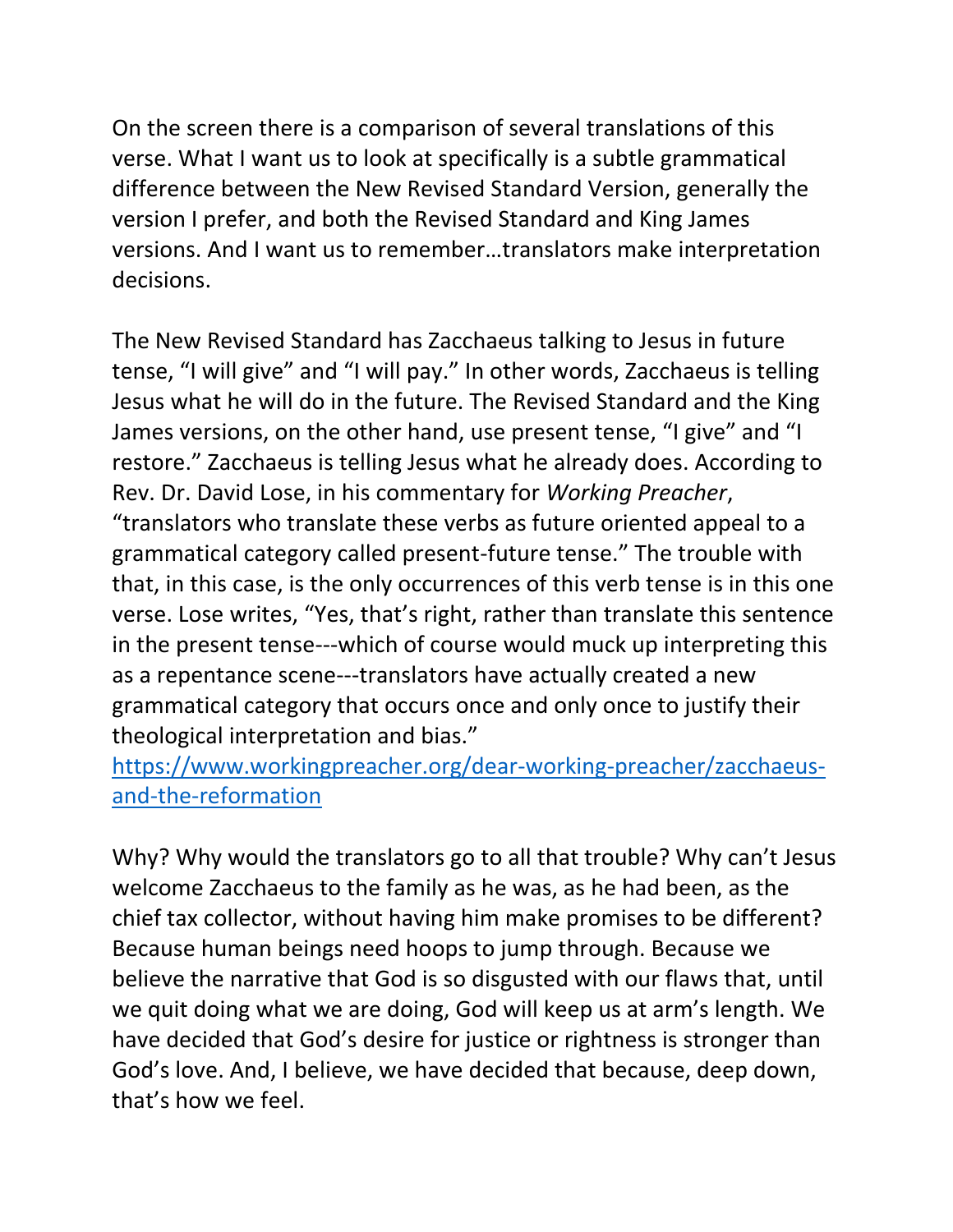On the screen there is a comparison of several translations of this verse. What I want us to look at specifically is a subtle grammatical difference between the New Revised Standard Version, generally the version I prefer, and both the Revised Standard and King James versions. And I want us to remember…translators make interpretation decisions.

The New Revised Standard has Zacchaeus talking to Jesus in future tense, "I will give" and "I will pay." In other words, Zacchaeus is telling Jesus what he will do in the future. The Revised Standard and the King James versions, on the other hand, use present tense, "I give" and "I restore." Zacchaeus is telling Jesus what he already does. According to Rev. Dr. David Lose, in his commentary for *Working Preacher*, "translators who translate these verbs as future oriented appeal to a grammatical category called present-future tense." The trouble with that, in this case, is the only occurrences of this verb tense is in this one verse. Lose writes, "Yes, that's right, rather than translate this sentence in the present tense---which of course would muck up interpreting this as a repentance scene---translators have actually created a new grammatical category that occurs once and only once to justify their theological interpretation and bias."

[https://www.workingpreacher.org/dear-working-preacher/zacchaeus](https://www.workingpreacher.org/dear-working-preacher/zacchaeus-and-the-reformation)[and-the-reformation](https://www.workingpreacher.org/dear-working-preacher/zacchaeus-and-the-reformation)

Why? Why would the translators go to all that trouble? Why can't Jesus welcome Zacchaeus to the family as he was, as he had been, as the chief tax collector, without having him make promises to be different? Because human beings need hoops to jump through. Because we believe the narrative that God is so disgusted with our flaws that, until we quit doing what we are doing, God will keep us at arm's length. We have decided that God's desire for justice or rightness is stronger than God's love. And, I believe, we have decided that because, deep down, that's how we feel.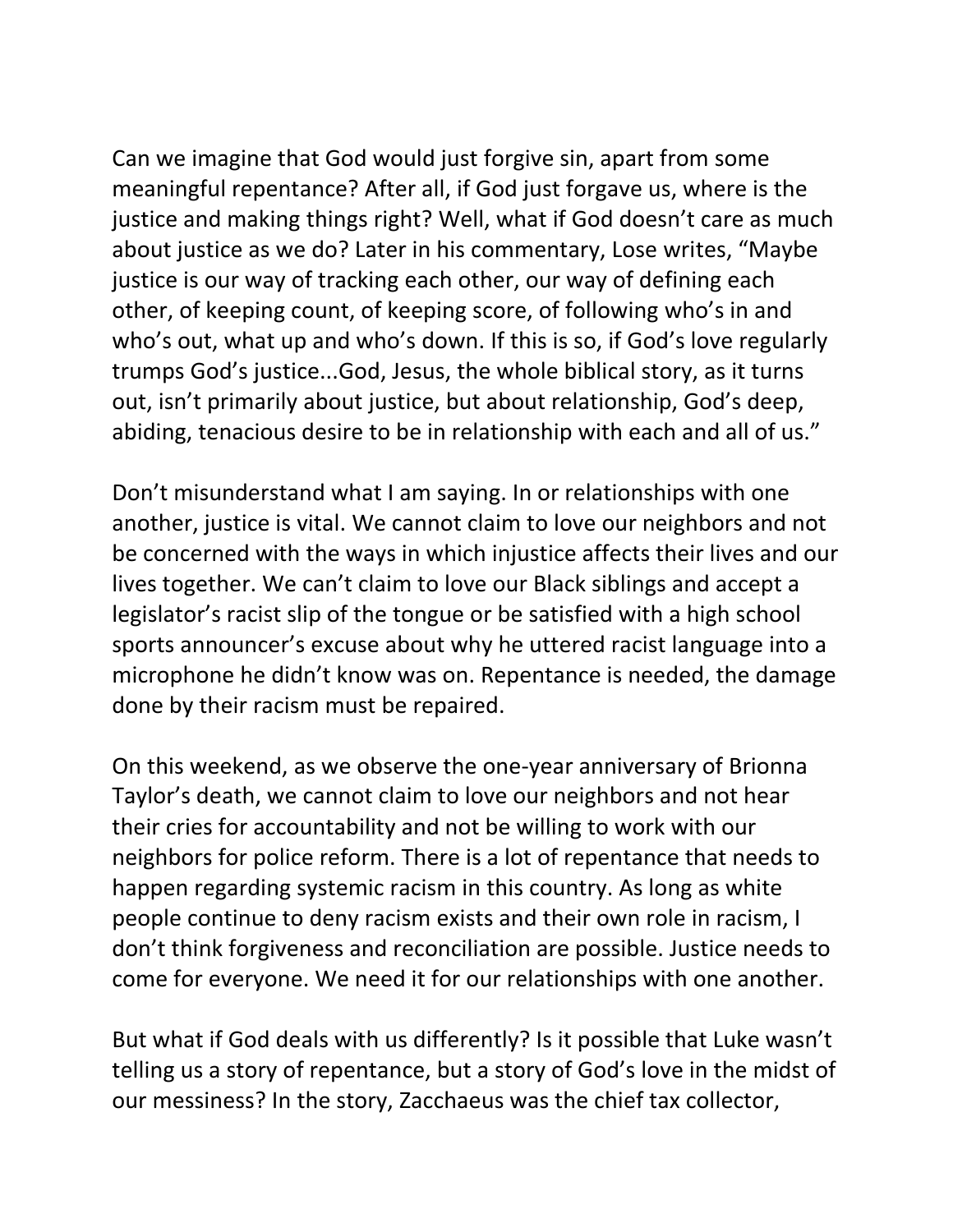Can we imagine that God would just forgive sin, apart from some meaningful repentance? After all, if God just forgave us, where is the justice and making things right? Well, what if God doesn't care as much about justice as we do? Later in his commentary, Lose writes, "Maybe justice is our way of tracking each other, our way of defining each other, of keeping count, of keeping score, of following who's in and who's out, what up and who's down. If this is so, if God's love regularly trumps God's justice...God, Jesus, the whole biblical story, as it turns out, isn't primarily about justice, but about relationship, God's deep, abiding, tenacious desire to be in relationship with each and all of us."

Don't misunderstand what I am saying. In or relationships with one another, justice is vital. We cannot claim to love our neighbors and not be concerned with the ways in which injustice affects their lives and our lives together. We can't claim to love our Black siblings and accept a legislator's racist slip of the tongue or be satisfied with a high school sports announcer's excuse about why he uttered racist language into a microphone he didn't know was on. Repentance is needed, the damage done by their racism must be repaired.

On this weekend, as we observe the one-year anniversary of Brionna Taylor's death, we cannot claim to love our neighbors and not hear their cries for accountability and not be willing to work with our neighbors for police reform. There is a lot of repentance that needs to happen regarding systemic racism in this country. As long as white people continue to deny racism exists and their own role in racism, I don't think forgiveness and reconciliation are possible. Justice needs to come for everyone. We need it for our relationships with one another.

But what if God deals with us differently? Is it possible that Luke wasn't telling us a story of repentance, but a story of God's love in the midst of our messiness? In the story, Zacchaeus was the chief tax collector,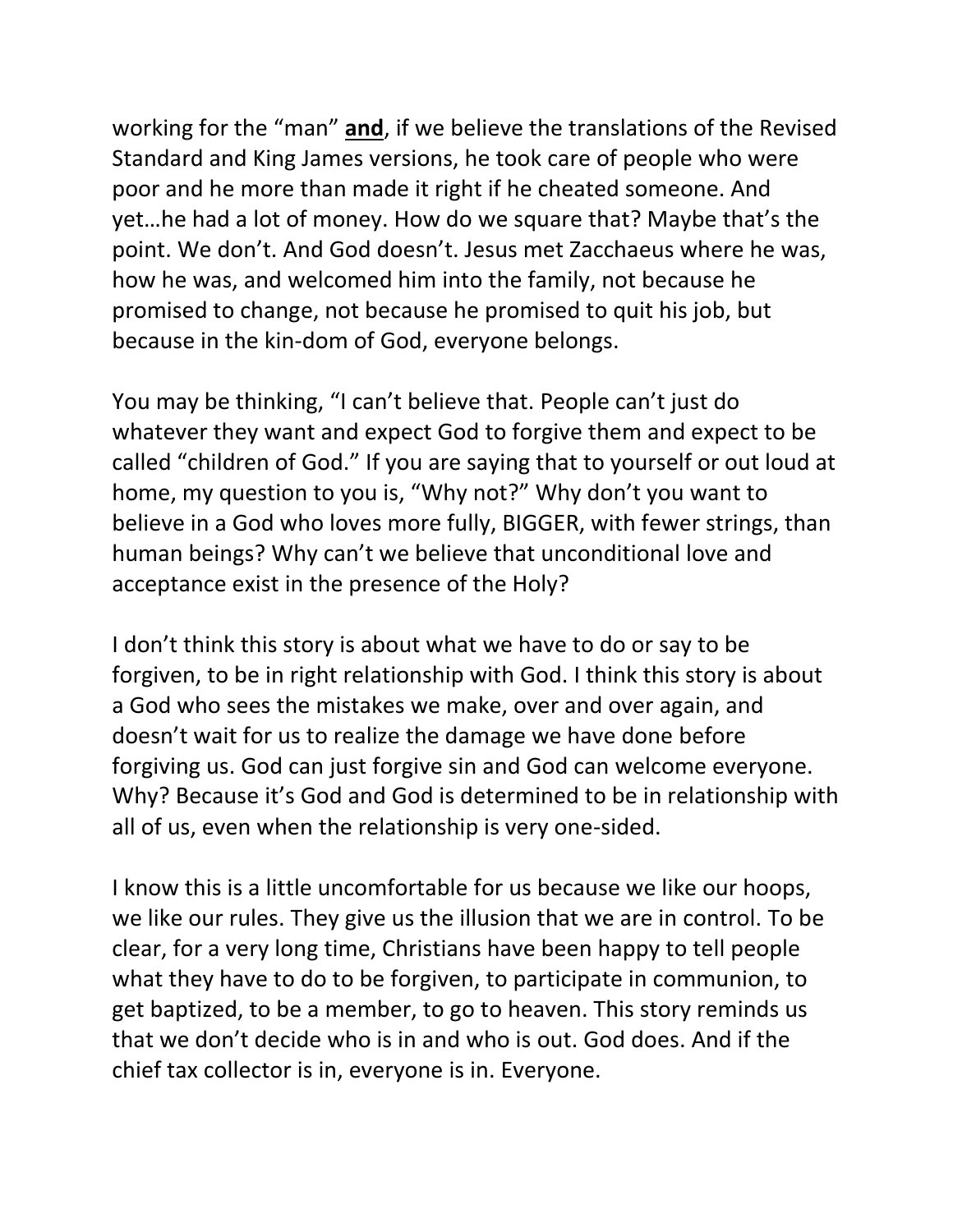working for the "man" **and**, if we believe the translations of the Revised Standard and King James versions, he took care of people who were poor and he more than made it right if he cheated someone. And yet…he had a lot of money. How do we square that? Maybe that's the point. We don't. And God doesn't. Jesus met Zacchaeus where he was, how he was, and welcomed him into the family, not because he promised to change, not because he promised to quit his job, but because in the kin-dom of God, everyone belongs.

You may be thinking, "I can't believe that. People can't just do whatever they want and expect God to forgive them and expect to be called "children of God." If you are saying that to yourself or out loud at home, my question to you is, "Why not?" Why don't you want to believe in a God who loves more fully, BIGGER, with fewer strings, than human beings? Why can't we believe that unconditional love and acceptance exist in the presence of the Holy?

I don't think this story is about what we have to do or say to be forgiven, to be in right relationship with God. I think this story is about a God who sees the mistakes we make, over and over again, and doesn't wait for us to realize the damage we have done before forgiving us. God can just forgive sin and God can welcome everyone. Why? Because it's God and God is determined to be in relationship with all of us, even when the relationship is very one-sided.

I know this is a little uncomfortable for us because we like our hoops, we like our rules. They give us the illusion that we are in control. To be clear, for a very long time, Christians have been happy to tell people what they have to do to be forgiven, to participate in communion, to get baptized, to be a member, to go to heaven. This story reminds us that we don't decide who is in and who is out. God does. And if the chief tax collector is in, everyone is in. Everyone.